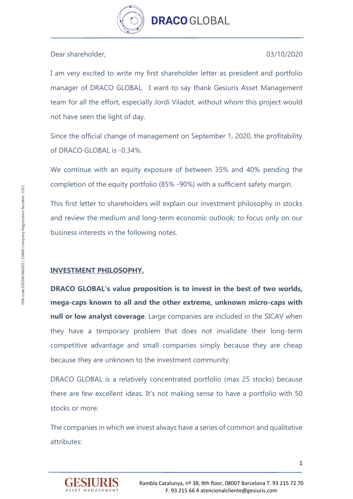

Dear shareholder, 03/10/2020

I am very excited to write my first shareholder letter as president and portfolio manager of DRACO GLOBAL. I want to say thank Gesiuris Asset Management team for all the effort, especially Jordi Viladot, without whom this project would not have seen the light of day.

Since the official change of management on September 1, 2020, the profitability of DRACO GLOBAL is -0.34%.

We continue with an equity exposure of between 35% and 40% pending the completion of the equity portfolio (85% -90%) with a sufficient safety margin.

This first letter to shareholders will explain our investment philosophy in stocks and review the medium and long-term economic outlook; to focus only on our business interests in the following notes.

# **INVESTMENT PHILOSOPHY.**

**DRACO GLOBAL's value proposition is to invest in the best of two worlds, mega-caps known to all and the other extreme, unknown micro-caps with null or low analyst coverage**. Large companies are included in the SICAV when they have a temporary problem that does not invalidate their long-term competitive advantage and small companies simply because they are cheap because they are unknown to the investment community.

DRACO GLOBAL is a relatively concentrated portfolio (max 25 stocks) because there are few excellent ideas. It's not making sense to have a portfolio with 50 stocks or more.

The companies in which we invest always have a series of common and qualitative attributes:

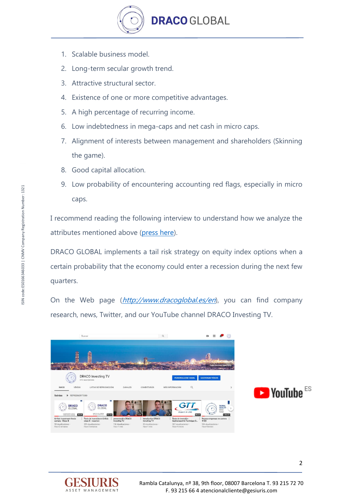

- 1. Scalable business model.
- 2. Long-term secular growth trend.
- 3. Attractive structural sector.
- 4. Existence of one or more competitive advantages.
- 5. A high percentage of recurring income.
- 6. Low indebtedness in mega-caps and net cash in micro caps.
- 7. Alignment of interests between management and shareholders (Skinning the game).
- 8. Good capital allocation.
- 9. Low probability of encountering accounting red flags, especially in micro caps.

I recommend reading the following interview to understand how we analyze the attributes mentioned above [\(press here\)](https://www.dracoglobal.es/en/update-interview-with-moi-global/).

DRACO GLOBAL implements a tail risk strategy on equity index options when a certain probability that the economy could enter a recession during the next few quarters.

On the Web page (*[http://www.dracoglobal.es/en](https://www.dracoglobal.es/en)*), you can find company research, news, Twitter, and our YouTube channel DRACO Investing TV.





2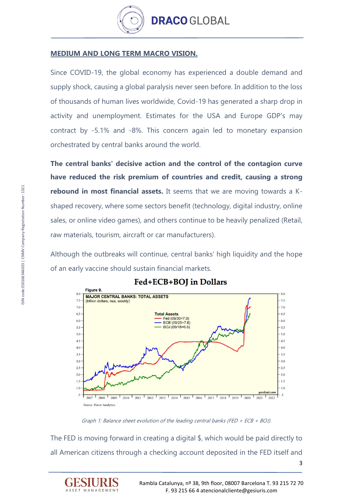

### **MEDIUM AND LONG TERM MACRO VISION.**

Since COVID-19, the global economy has experienced a double demand and supply shock, causing a global paralysis never seen before. In addition to the loss of thousands of human lives worldwide, Covid-19 has generated a sharp drop in activity and unemployment. Estimates for the USA and Europe GDP's may contract by -5.1% and -8%. This concern again led to monetary expansion orchestrated by central banks around the world.

**The central banks' decisive action and the control of the contagion curve have reduced the risk premium of countries and credit, causing a strong rebound in most financial assets.** It seems that we are moving towards a Kshaped recovery, where some sectors benefit (technology, digital industry, online sales, or online video games), and others continue to be heavily penalized (Retail, raw materials, tourism, aircraft or car manufacturers).

Although the outbreaks will continue, central banks' high liquidity and the hope of an early vaccine should sustain financial markets.



# Fed+ECB+BOI in Dollars

Graph 1: Balance sheet evolution of the leading central banks (FED + ECB + BOJ).

The FED is moving forward in creating a digital \$, which would be paid directly to all American citizens through a checking account deposited in the FED itself and

ASSET MANAGEMENT



3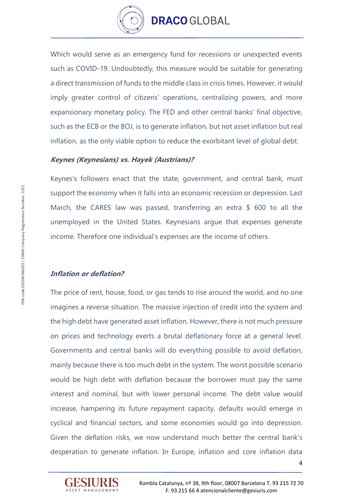

Which would serve as an emergency fund for recessions or unexpected events such as COVID-19. Undoubtedly, this measure would be suitable for generating a direct transmission of funds to the middle class in crisis times. However, it would imply greater control of citizens' operations, centralizing powers, and more expansionary monetary policy. The FED and other central banks' final objective, such as the ECB or the BOJ, is to generate inflation, but not asset inflation but real inflation, as the only viable option to reduce the exorbitant level of global debt.

#### **Keynes (Keynesians) vs. Hayek (Austrians)?**

Keynes's followers enact that the state, government, and central bank, must support the economy when it falls into an economic recession or depression. Last March, the CARES law was passed, transferring an extra \$ 600 to all the unemployed in the United States. Keynesians argue that expenses generate income. Therefore one individual's expenses are the income of others.

#### **Inflation or deflation?**

The price of rent, house, food, or gas tends to rise around the world, and no one imagines a reverse situation. The massive injection of credit into the system and the high debt have generated asset inflation. However, there is not much pressure on prices and technology exerts a brutal deflationary force at a general level. Governments and central banks will do everything possible to avoid deflation, mainly because there is too much debt in the system. The worst possible scenario would be high debt with deflation because the borrower must pay the same interest and nominal, but with lower personal income. The debt value would increase, hampering its future repayment capacity, defaults would emerge in cyclical and financial sectors, and some economies would go into depression. Given the deflation risks, we now understand much better the central bank's desperation to generate inflation. In Europe, inflation and core inflation data



ISIN code:ES0166346033 | CNMV Company Registration Number: 1321 SIN code:ES0166346033 | CNMV Company Registration Number: 1321

4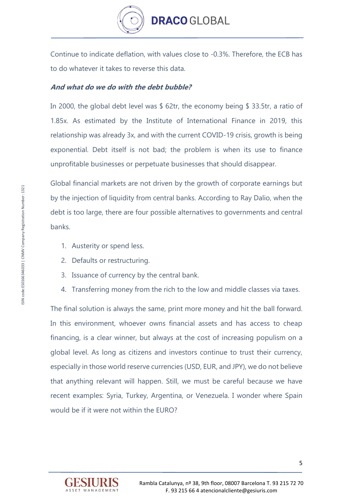

Continue to indicate deflation, with values close to -0.3%. Therefore, the ECB has to do whatever it takes to reverse this data.

# **And what do we do with the debt bubble?**

In 2000, the global debt level was \$ 62tr, the economy being \$ 33.5tr, a ratio of 1.85x. As estimated by the Institute of International Finance in 2019, this relationship was already 3x, and with the current COVID-19 crisis, growth is being exponential. Debt itself is not bad; the problem is when its use to finance unprofitable businesses or perpetuate businesses that should disappear.

Global financial markets are not driven by the growth of corporate earnings but by the injection of liquidity from central banks. According to Ray Dalio, when the debt is too large, there are four possible alternatives to governments and central banks.

- 1. Austerity or spend less.
- 2. Defaults or restructuring.
- 3. Issuance of currency by the central bank.
- 4. Transferring money from the rich to the low and middle classes via taxes.

The final solution is always the same, print more money and hit the ball forward. In this environment, whoever owns financial assets and has access to cheap financing, is a clear winner, but always at the cost of increasing populism on a global level. As long as citizens and investors continue to trust their currency, especially in those world reserve currencies (USD, EUR, and JPY), we do not believe that anything relevant will happen. Still, we must be careful because we have recent examples: Syria, Turkey, Argentina, or Venezuela. I wonder where Spain would be if it were not within the EURO?

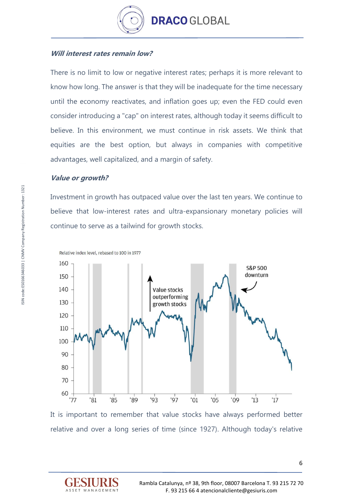

# **Will interest rates remain low?**

There is no limit to low or negative interest rates; perhaps it is more relevant to know how long. The answer is that they will be inadequate for the time necessary until the economy reactivates, and inflation goes up; even the FED could even consider introducing a "cap" on interest rates, although today it seems difficult to believe. In this environment, we must continue in risk assets. We think that equities are the best option, but always in companies with competitive advantages, well capitalized, and a margin of safety.

#### **Value or growth?**

Investment in growth has outpaced value over the last ten years. We continue to believe that low-interest rates and ultra-expansionary monetary policies will continue to serve as a tailwind for growth stocks.



It is important to remember that value stocks have always performed better relative and over a long series of time (since 1927). Although today's relative

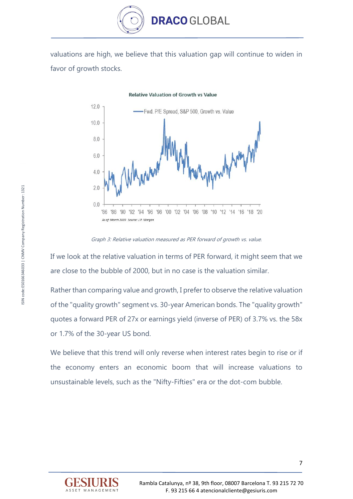

valuations are high, we believe that this valuation gap will continue to widen in favor of growth stocks.

**Relative Valuation of Growth vs Value** 



Graph 3: Relative valuation measured as PER forward of growth vs. value.

If we look at the relative valuation in terms of PER forward, it might seem that we are close to the bubble of 2000, but in no case is the valuation similar.

Rather than comparing value and growth, I prefer to observe the relative valuation of the "quality growth" segment vs. 30-year American bonds. The "quality growth" quotes a forward PER of 27x or earnings yield (inverse of PER) of 3.7% vs. the 58x or 1.7% of the 30-year US bond.

We believe that this trend will only reverse when interest rates begin to rise or if the economy enters an economic boom that will increase valuations to unsustainable levels, such as the "Nifty-Fifties" era or the dot-com bubble.

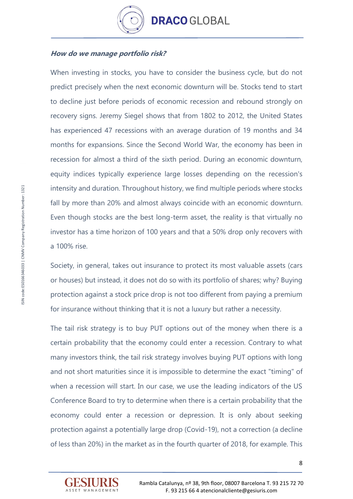

# **How do we manage portfolio risk?**

When investing in stocks, you have to consider the business cycle, but do not predict precisely when the next economic downturn will be. Stocks tend to start to decline just before periods of economic recession and rebound strongly on recovery signs. Jeremy Siegel shows that from 1802 to 2012, the United States has experienced 47 recessions with an average duration of 19 months and 34 months for expansions. Since the Second World War, the economy has been in recession for almost a third of the sixth period. During an economic downturn, equity indices typically experience large losses depending on the recession's intensity and duration. Throughout history, we find multiple periods where stocks fall by more than 20% and almost always coincide with an economic downturn. Even though stocks are the best long-term asset, the reality is that virtually no investor has a time horizon of 100 years and that a 50% drop only recovers with a 100% rise.

Society, in general, takes out insurance to protect its most valuable assets (cars or houses) but instead, it does not do so with its portfolio of shares; why? Buying protection against a stock price drop is not too different from paying a premium for insurance without thinking that it is not a luxury but rather a necessity.

The tail risk strategy is to buy PUT options out of the money when there is a certain probability that the economy could enter a recession. Contrary to what many investors think, the tail risk strategy involves buying PUT options with long and not short maturities since it is impossible to determine the exact "timing" of when a recession will start. In our case, we use the leading indicators of the US Conference Board to try to determine when there is a certain probability that the economy could enter a recession or depression. It is only about seeking protection against a potentially large drop (Covid-19), not a correction (a decline of less than 20%) in the market as in the fourth quarter of 2018, for example. This

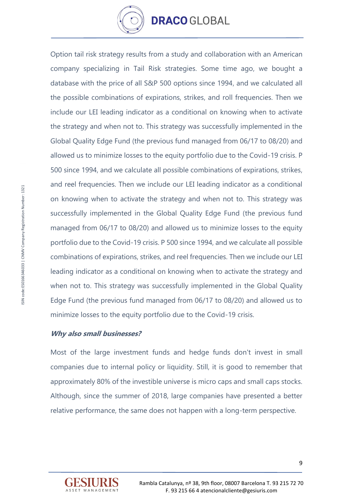

Option tail risk strategy results from a study and collaboration with an American company specializing in Tail Risk strategies. Some time ago, we bought a database with the price of all S&P 500 options since 1994, and we calculated all the possible combinations of expirations, strikes, and roll frequencies. Then we include our LEI leading indicator as a conditional on knowing when to activate the strategy and when not to. This strategy was successfully implemented in the Global Quality Edge Fund (the previous fund managed from 06/17 to 08/20) and allowed us to minimize losses to the equity portfolio due to the Covid-19 crisis. P 500 since 1994, and we calculate all possible combinations of expirations, strikes, and reel frequencies. Then we include our LEI leading indicator as a conditional on knowing when to activate the strategy and when not to. This strategy was successfully implemented in the Global Quality Edge Fund (the previous fund managed from 06/17 to 08/20) and allowed us to minimize losses to the equity portfolio due to the Covid-19 crisis. P 500 since 1994, and we calculate all possible combinations of expirations, strikes, and reel frequencies. Then we include our LEI leading indicator as a conditional on knowing when to activate the strategy and when not to. This strategy was successfully implemented in the Global Quality Edge Fund (the previous fund managed from 06/17 to 08/20) and allowed us to minimize losses to the equity portfolio due to the Covid-19 crisis.

## **Why also small businesses?**

Most of the large investment funds and hedge funds don't invest in small companies due to internal policy or liquidity. Still, it is good to remember that approximately 80% of the investible universe is micro caps and small caps stocks. Although, since the summer of 2018, large companies have presented a better relative performance, the same does not happen with a long-term perspective.

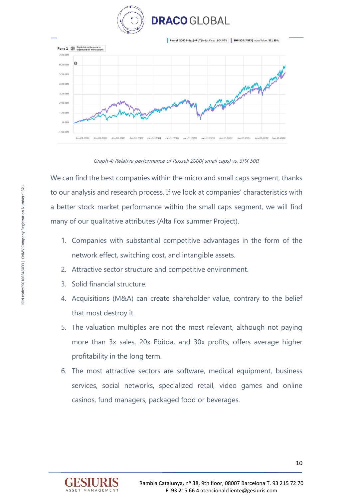



Graph 4: Relative performance of Russell 2000( small caps) vs. SPX 500.

We can find the best companies within the micro and small caps segment, thanks to our analysis and research process. If we look at companies' characteristics with a better stock market performance within the small caps segment, we will find many of our qualitative attributes (Alta Fox summer Project).

- 1. Companies with substantial competitive advantages in the form of the network effect, switching cost, and intangible assets.
- 2. Attractive sector structure and competitive environment.
- 3. Solid financial structure.
- 4. Acquisitions (M&A) can create shareholder value, contrary to the belief that most destroy it.
- 5. The valuation multiples are not the most relevant, although not paying more than 3x sales, 20x Ebitda, and 30x profits; offers average higher profitability in the long term.
- 6. The most attractive sectors are software, medical equipment, business services, social networks, specialized retail, video games and online casinos, fund managers, packaged food or beverages.

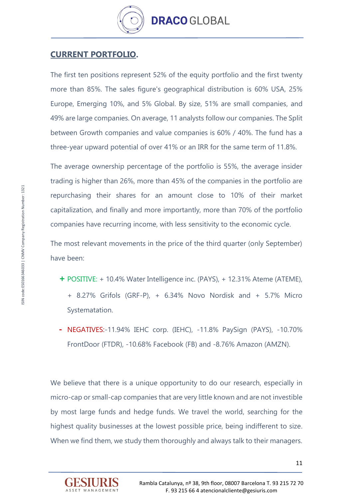

# **CURRENT PORTFOLIO.**

The first ten positions represent 52% of the equity portfolio and the first twenty more than 85%. The sales figure's geographical distribution is 60% USA, 25% Europe, Emerging 10%, and 5% Global. By size, 51% are small companies, and 49% are large companies. On average, 11 analysts follow our companies. The Split between Growth companies and value companies is 60% / 40%. The fund has a three-year upward potential of over 41% or an IRR for the same term of 11.8%.

The average ownership percentage of the portfolio is 55%, the average insider trading is higher than 26%, more than 45% of the companies in the portfolio are repurchasing their shares for an amount close to 10% of their market capitalization, and finally and more importantly, more than 70% of the portfolio companies have recurring income, with less sensitivity to the economic cycle.

The most relevant movements in the price of the third quarter (only September) have been:

- **+** POSITIVE: + 10.4% Water Intelligence inc. (PAYS), + 12.31% Ateme (ATEME), + 8.27% Grifols (GRF-P), + 6.34% Novo Nordisk and + 5.7% Micro Systematation.
- **-** NEGATIVES:-11.94% IEHC corp. (IEHC), -11.8% PaySign (PAYS), -10.70% FrontDoor (FTDR), -10.68% Facebook (FB) and -8.76% Amazon (AMZN).

We believe that there is a unique opportunity to do our research, especially in micro-cap or small-cap companies that are very little known and are not investible by most large funds and hedge funds. We travel the world, searching for the highest quality businesses at the lowest possible price, being indifferent to size. When we find them, we study them thoroughly and always talk to their managers.

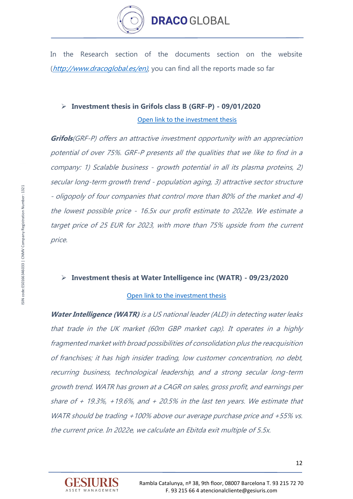

In the Research section of the documents section on the website ([http://www.dracoglobal.es/en\)](http://www.dracoglobal.es/en), you can find all the reports made so far

# ➢ **Investment thesis in Grifols class B (GRF-P) - 09/01/2020**

#### [Open link to the investment thesis](https://www.dracoglobal.es/en/wp-content/uploads/2020/09/Grifols-clase-B-_-Tesis-inversi%C3%B3n-ENG-1.pdf)

**Grifols**(GRF-P) offers an attractive investment opportunity with an appreciation potential of over 75%. GRF-P presents all the qualities that we like to find in a company: 1) Scalable business - growth potential in all its plasma proteins, 2) secular long-term growth trend - population aging, 3) attractive sector structure - oligopoly of four companies that control more than 80% of the market and 4) the lowest possible price - 16.5x our profit estimate to 2022e. We estimate a target price of 25 EUR for 2023, with more than 75% upside from the current price.

## ➢ **Investment thesis at Water Intelligence inc (WATR) - 09/23/2020**

#### [Open link to the investment thesis](https://www.dracoglobal.es/en/wp-content/uploads/2020/09/WaterIntelligence_Tesisinversi%C3%B3n.es_.en_.pdf)

**Water Intelligence (WATR)** is a US national leader (ALD) in detecting water leaks that trade in the UK market (60m GBP market cap). It operates in a highly fragmented market with broad possibilities of consolidation plus the reacquisition of franchises; it has high insider trading, low customer concentration, no debt, recurring business, technological leadership, and a strong secular long-term growth trend. WATR has grown at a CAGR on sales, gross profit, and earnings per share of  $+$  19.3%,  $+19.6$ %, and  $+$  20.5% in the last ten years. We estimate that WATR should be trading +100% above our average purchase price and +55% vs. the current price. In 2022e, we calculate an Ebitda exit multiple of 5.5x.